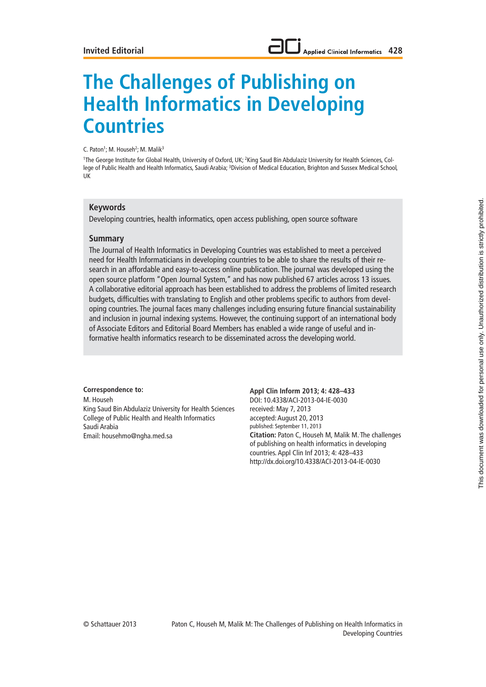# **The Challenges of Publishing on Health Informatics in Developing Countries**

C. Paton<sup>1</sup>; M. Househ<sup>2</sup>; M. Malik<sup>3</sup>

<sup>1</sup>The George Institute for Global Health, University of Oxford, UK; <sup>2</sup>King Saud Bin Abdulaziz University for Health Sciences, College of Public Health and Health Informatics, Saudi Arabia; <sup>3</sup>Division of Medical Education, Brighton and Sussex Medical School, UK

## **Keywords**

Developing countries, health informatics, open access publishing, open source software

#### **Summary**

The Journal of Health Informatics in Developing Countries was established to meet a perceived need for Health Informaticians in developing countries to be able to share the results of their research in an affordable and easy-to-access online publication. The journal was developed using the open source platform "Open Journal System," and has now published 67 articles across 13 issues. A collaborative editorial approach has been established to address the problems of limited research budgets, difficulties with translating to English and other problems specific to authors from developing countries. The journal faces many challenges including ensuring future financial sustainability and inclusion in journal indexing systems. However, the continuing support of an international body of Associate Editors and Editorial Board Members has enabled a wide range of useful and informative health informatics research to be disseminated across the developing world.

#### **Correspondence to:**

M. Househ King Saud Bin Abdulaziz University for Health Sciences College of Public Health and Health Informatics Saudi Arabia Email: househmo@ngha.med.sa

## **Appl Clin Inform 2013; 4: 428–433**

DOI: 10.4338/ACI-2013-04-IE-0030 received: May 7, 2013 accepted: August 20, 2013 published: September 11, 2013 **Citation:** Paton C, Househ M, Malik M.. The challenges of publishing on health informatics in developing countries. Appl Clin Inf 2013; 4: 428–433 http://dx.doi.org/10.4338/ACI-2013-04-IE-0030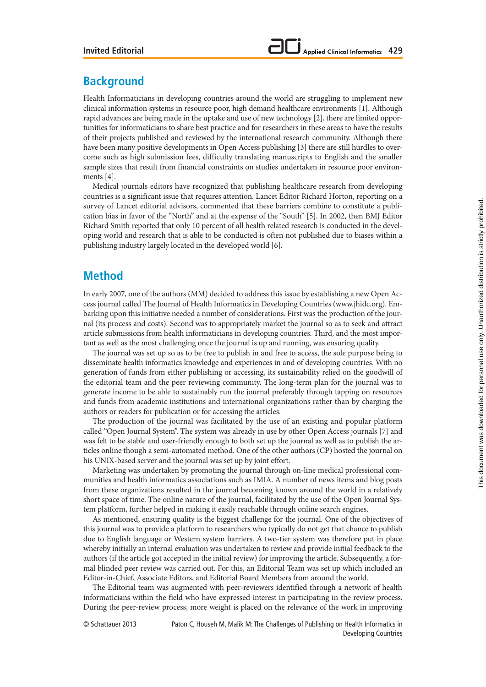# **Background**

Health Informaticians in developing countries around the world are struggling to implement new clinical information systems in resource poor, high demand healthcare environments [1]. Although rapid advances are being made in the uptake and use of new technology [2], there are limited opportunities for informaticians to share best practice and for researchers in these areas to have the results of their projects published and reviewed by the international research community. Although there have been many positive developments in Open Access publishing [3] there are still hurdles to overcome such as high submission fees, difficulty translating manuscripts to English and the smaller sample sizes that result from financial constraints on studies undertaken in resource poor environments [4].

Medical journals editors have recognized that publishing healthcare research from developing countries is a significant issue that requires attention. Lancet Editor Richard Horton, reporting on a survey of Lancet editorial advisors, commented that these barriers combine to constitute a publication bias in favor of the "North" and at the expense of the "South" [5]. In 2002, then BMJ Editor Richard Smith reported that only 10 percent of all health related research is conducted in the developing world and research that is able to be conducted is often not published due to biases within a publishing industry largely located in the developed world [6].

## **Method**

In early 2007, one of the authors (MM) decided to address this issue by establishing a new Open Access journal called The Journal of Health Informatics in Developing Countries (www.jhidc.org). Embarking upon this initiative needed a number of considerations. First was the production of the journal (its process and costs). Second was to appropriately market the journal so as to seek and attract article submissions from health informaticians in developing countries. Third, and the most important as well as the most challenging once the journal is up and running, was ensuring quality.

The journal was set up so as to be free to publish in and free to access, the sole purpose being to disseminate health informatics knowledge and experiences in and of developing countries. With no generation of funds from either publishing or accessing, its sustainability relied on the goodwill of the editorial team and the peer reviewing community. The long-term plan for the journal was to generate income to be able to sustainably run the journal preferably through tapping on resources and funds from academic institutions and international organizations rather than by charging the authors or readers for publication or for accessing the articles.

The production of the journal was facilitated by the use of an existing and popular platform called "Open Journal System". The system was already in use by other Open Access journals [7] and was felt to be stable and user-friendly enough to both set up the journal as well as to publish the articles online though a semi-automated method. One of the other authors (CP) hosted the journal on his UNIX-based server and the journal was set up by joint effort.

Marketing was undertaken by promoting the journal through on-line medical professional communities and health informatics associations such as IMIA. A number of news items and blog posts from these organizations resulted in the journal becoming known around the world in a relatively short space of time. The online nature of the journal, facilitated by the use of the Open Journal System platform, further helped in making it easily reachable through online search engines.

As mentioned, ensuring quality is the biggest challenge for the journal. One of the objectives of this journal was to provide a platform to researchers who typically do not get that chance to publish due to English language or Western system barriers. A two-tier system was therefore put in place whereby initially an internal evaluation was undertaken to review and provide initial feedback to the authors (if the article got accepted in the initial review) for improving the article. Subsequently, a formal blinded peer review was carried out. For this, an Editorial Team was set up which included an Editor-in-Chief, Associate Editors, and Editorial Board Members from around the world.

The Editorial team was augmented with peer-reviewers identified through a network of health informaticians within the field who have expressed interest in participating in the review process. During the peer-review process, more weight is placed on the relevance of the work in improving

© Schattauer 2013

Paton C, Househ M, Malik M: The Challenges of Publishing on Health Informatics in Developing Countries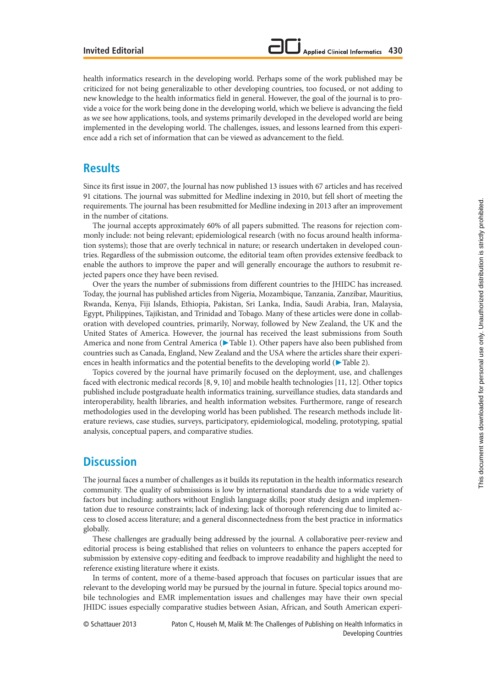health informatics research in the developing world. Perhaps some of the work published may be criticized for not being generalizable to other developing countries, too focused, or not adding to new knowledge to the health informatics field in general. However, the goal of the journal is to provide a voice for the work being done in the developing world, which we believe is advancing the field as we see how applications, tools, and systems primarily developed in the developed world are being implemented in the developing world. The challenges, issues, and lessons learned from this experience add a rich set of information that can be viewed as advancement to the field.

## **Results**

Since its first issue in 2007, the Journal has now published 13 issues with 67 articles and has received 91 citations. The journal was submitted for Medline indexing in 2010, but fell short of meeting the requirements. The journal has been resubmitted for Medline indexing in 2013 after an improvement in the number of citations.

The journal accepts approximately 60% of all papers submitted. The reasons for rejection commonly include: not being relevant; epidemiological research (with no focus around health information systems); those that are overly technical in nature; or research undertaken in developed countries. Regardless of the submission outcome, the editorial team often provides extensive feedback to enable the authors to improve the paper and will generally encourage the authors to resubmit rejected papers once they have been revised.

Over the years the number of submissions from different countries to the JHIDC has increased. Today, the journal has published articles from Nigeria, Mozambique, Tanzania, Zanzibar, Mauritius, Rwanda, Kenya, Fiji Islands, Ethiopia, Pakistan, Sri Lanka, India, Saudi Arabia, Iran, Malaysia, Egypt, Philippines, Tajikistan, and Trinidad and Tobago. Many of these articles were done in collaboration with developed countries, primarily, Norway, followed by New Zealand, the UK and the United States of America. However, the journal has received the least submissions from South America and none from Central America (▶ Table 1). Other papers have also been published from countries such as Canada, England, New Zealand and the USA where the articles share their experiences in health informatics and the potential benefits to the developing world (▶ Table 2).

Topics covered by the journal have primarily focused on the deployment, use, and challenges faced with electronic medical records [8, 9, 10] and mobile health technologies [11, 12]. Other topics published include postgraduate health informatics training, surveillance studies, data standards and interoperability, health libraries, and health information websites. Furthermore, range of research methodologies used in the developing world has been published. The research methods include literature reviews, case studies, surveys, participatory, epidemiological, modeling, prototyping, spatial analysis, conceptual papers, and comparative studies.

## **Discussion**

The journal faces a number of challenges as it builds its reputation in the health informatics research community. The quality of submissions is low by international standards due to a wide variety of factors but including: authors without English language skills; poor study design and implementation due to resource constraints; lack of indexing; lack of thorough referencing due to limited access to closed access literature; and a general disconnectedness from the best practice in informatics globally.

These challenges are gradually being addressed by the journal. A collaborative peer-review and editorial process is being established that relies on volunteers to enhance the papers accepted for submission by extensive copy-editing and feedback to improve readability and highlight the need to reference existing literature where it exists.

In terms of content, more of a theme-based approach that focuses on particular issues that are relevant to the developing world may be pursued by the journal in future. Special topics around mobile technologies and EMR implementation issues and challenges may have their own special JHIDC issues especially comparative studies between Asian, African, and South American experi-

© Schattauer 2013

Paton C, Househ M, Malik M: The Challenges of Publishing on Health Informatics in Developing Countries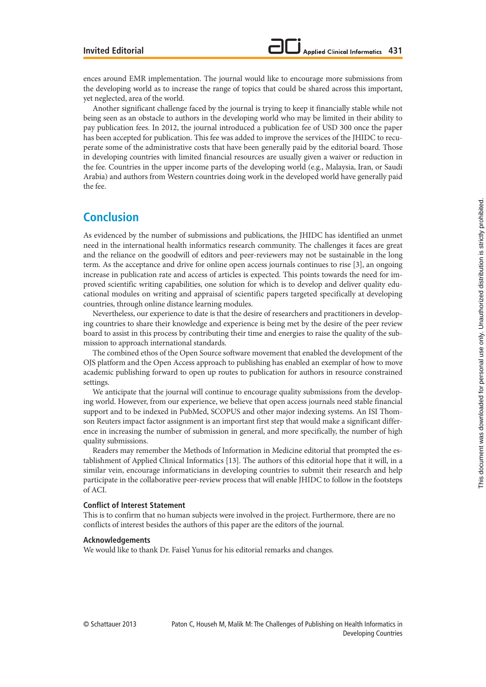ences around EMR implementation. The journal would like to encourage more submissions from the developing world as to increase the range of topics that could be shared across this important, yet neglected, area of the world.

Another significant challenge faced by the journal is trying to keep it financially stable while not being seen as an obstacle to authors in the developing world who may be limited in their ability to pay publication fees. In 2012, the journal introduced a publication fee of USD 300 once the paper has been accepted for publication. This fee was added to improve the services of the JHIDC to recuperate some of the administrative costs that have been generally paid by the editorial board. Those in developing countries with limited financial resources are usually given a waiver or reduction in the fee. Countries in the upper income parts of the developing world (e.g., Malaysia, Iran, or Saudi Arabia) and authors from Western countries doing work in the developed world have generally paid the fee.

## **Conclusion**

As evidenced by the number of submissions and publications, the JHIDC has identified an unmet need in the international health informatics research community. The challenges it faces are great and the reliance on the goodwill of editors and peer-reviewers may not be sustainable in the long term. As the acceptance and drive for online open access journals continues to rise [3], an ongoing increase in publication rate and access of articles is expected. This points towards the need for improved scientific writing capabilities, one solution for which is to develop and deliver quality educational modules on writing and appraisal of scientific papers targeted specifically at developing countries, through online distance learning modules.

Nevertheless, our experience to date is that the desire of researchers and practitioners in developing countries to share their knowledge and experience is being met by the desire of the peer review board to assist in this process by contributing their time and energies to raise the quality of the submission to approach international standards.

The combined ethos of the Open Source software movement that enabled the development of the OJS platform and the Open Access approach to publishing has enabled an exemplar of how to move academic publishing forward to open up routes to publication for authors in resource constrained settings.

We anticipate that the journal will continue to encourage quality submissions from the developing world. However, from our experience, we believe that open access journals need stable financial support and to be indexed in PubMed, SCOPUS and other major indexing systems. An ISI Thomson Reuters impact factor assignment is an important first step that would make a significant difference in increasing the number of submission in general, and more specifically, the number of high quality submissions.

Readers may remember the Methods of Information in Medicine editorial that prompted the establishment of Applied Clinical Informatics [13]. The authors of this editorial hope that it will, in a similar vein, encourage informaticians in developing countries to submit their research and help participate in the collaborative peer-review process that will enable JHIDC to follow in the footsteps of ACI.

### **Conflict of Interest Statement**

This is to confirm that no human subjects were involved in the project. Furthermore, there are no conflicts of interest besides the authors of this paper are the editors of the journal.

#### **Acknowledgements**

We would like to thank Dr. Faisel Yunus for his editorial remarks and changes.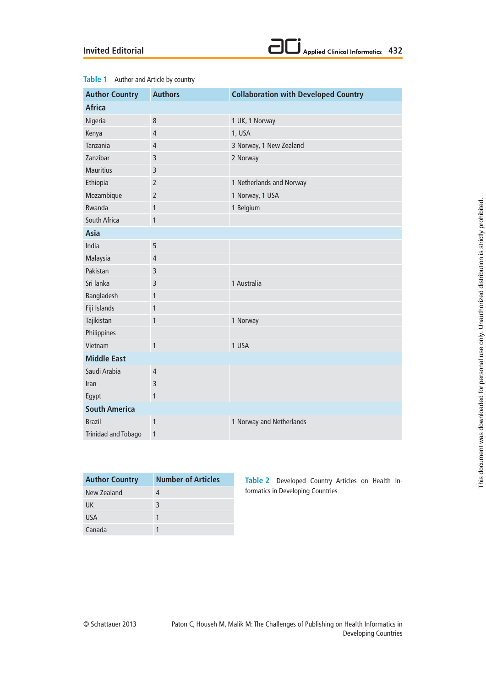## **Invited Editorial**

| Applied Clinical Informatics 432 |  |
|----------------------------------|--|
|----------------------------------|--|

| <b>Author Country</b> | <b>Authors</b> | <b>Collaboration with Developed Country</b> |  |  |
|-----------------------|----------------|---------------------------------------------|--|--|
| <b>Africa</b>         |                |                                             |  |  |
| Nigeria               | 8              | 1 UK, 1 Norway                              |  |  |
| Kenya                 | $\overline{4}$ | 1, USA                                      |  |  |
| Tanzania              | $\overline{4}$ | 3 Norway, 1 New Zealand                     |  |  |
| Zanzibar              | $\overline{3}$ | 2 Norway                                    |  |  |
| <b>Mauritius</b>      | 3              |                                             |  |  |
| Ethiopia              | $\overline{2}$ | 1 Netherlands and Norway                    |  |  |
| Mozambique            | $\overline{2}$ | 1 Norway, 1 USA                             |  |  |
| Rwanda                | $\mathbf{1}$   | 1 Belgium                                   |  |  |
| South Africa          | 1              |                                             |  |  |
| Asia                  |                |                                             |  |  |
| India                 | 5              |                                             |  |  |
| Malaysia              | $\overline{4}$ |                                             |  |  |
| Pakistan              | 3              |                                             |  |  |
| Sri lanka             | 3              | 1 Australia                                 |  |  |
| Bangladesh            | 1              |                                             |  |  |
| Fiji Islands          | $\mathbf{1}$   |                                             |  |  |
| Tajikistan            | $\mathbf{1}$   | 1 Norway                                    |  |  |
| Philippines           |                |                                             |  |  |
| Vietnam               | $\mathbf{1}$   | 1 USA                                       |  |  |
| <b>Middle East</b>    |                |                                             |  |  |
| Saudi Arabia          | $\overline{4}$ |                                             |  |  |
| Iran                  | 3              |                                             |  |  |
| Egypt                 | 1              |                                             |  |  |
| <b>South America</b>  |                |                                             |  |  |
| <b>Brazil</b>         | $\mathbf{1}$   | 1 Norway and Netherlands                    |  |  |
| Trinidad and Tobago   | 1              |                                             |  |  |

## **Table 1** Author and Article by country

| <b>Author Country</b> | <b>Number of Articles</b> |
|-----------------------|---------------------------|
| New Zealand           |                           |
| UK                    | 3                         |
| <b>USA</b>            |                           |
| Canada                |                           |

**Table 2** Developed Country Articles on Health Informatics in Developing Countries